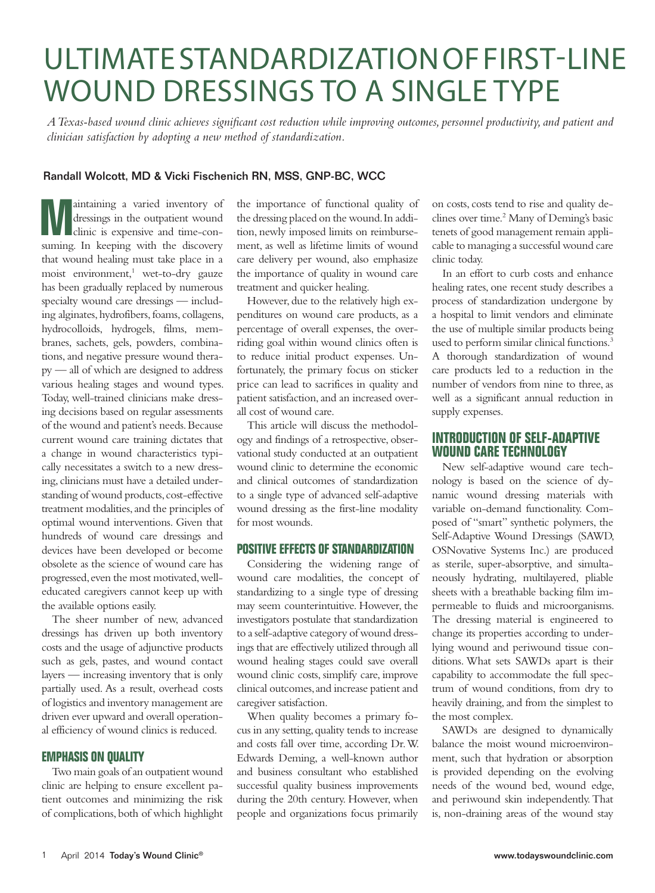### ULTIMATE STANDARDIZATION OF FIRST-LINE WOUND DRESSINGS TO A SINGLE TYPE

*A Texas-based wound clinic achieves significant cost reduction while improving outcomes, personnel productivity, and patient and clinician satisfaction by adopting a new method of standardization.*

#### Randall Wolcott, MD & Vicki Fischenich RN, MSS, GNP-BC, WCC

**Maintaining a varied inventory of dressings in the outpatient wound clinic is expensive and time-con-<br>
suming . In keeping with the discovery** dressings in the outpatient wound suming. In keeping with the discovery that wound healing must take place in a moist environment,<sup>1</sup> wet-to-dry gauze has been gradually replaced by numerous specialty wound care dressings — including alginates, hydrofibers, foams, collagens, hydrocolloids, hydrogels, films, membranes, sachets, gels, powders, combinations, and negative pressure wound therapy — all of which are designed to address various healing stages and wound types. Today, well-trained clinicians make dressing decisions based on regular assessments of the wound and patient's needs. Because current wound care training dictates that a change in wound characteristics typically necessitates a switch to a new dressing, clinicians must have a detailed understanding of wound products, cost-effective treatment modalities, and the principles of optimal wound interventions. Given that hundreds of wound care dressings and devices have been developed or become obsolete as the science of wound care has progressed, even the most motivated, welleducated caregivers cannot keep up with the available options easily.

The sheer number of new, advanced dressings has driven up both inventory costs and the usage of adjunctive products such as gels, pastes, and wound contact layers — increasing inventory that is only partially used. As a result, overhead costs of logistics and inventory management are driven ever upward and overall operational efficiency of wound clinics is reduced.

#### **EMPHASIS ON QUALITY**

Two main goals of an outpatient wound clinic are helping to ensure excellent patient outcomes and minimizing the risk of complications, both of which highlight

the importance of functional quality of the dressing placed on the wound. In addition, newly imposed limits on reimbursement, as well as lifetime limits of wound care delivery per wound, also emphasize the importance of quality in wound care treatment and quicker healing.

However, due to the relatively high expenditures on wound care products, as a percentage of overall expenses, the overriding goal within wound clinics often is to reduce initial product expenses. Unfortunately, the primary focus on sticker price can lead to sacrifices in quality and patient satisfaction, and an increased overall cost of wound care.

This article will discuss the methodology and findings of a retrospective, observational study conducted at an outpatient wound clinic to determine the economic and clinical outcomes of standardization to a single type of advanced self-adaptive wound dressing as the first-line modality for most wounds.

#### **POSITIVE EFFECTS OF STANDARDIZATION**

Considering the widening range of wound care modalities, the concept of standardizing to a single type of dressing may seem counterintuitive. However, the investigators postulate that standardization to a self-adaptive category of wound dressings that are effectively utilized through all wound healing stages could save overall wound clinic costs, simplify care, improve clinical outcomes, and increase patient and caregiver satisfaction.

When quality becomes a primary focus in any setting, quality tends to increase and costs fall over time, according Dr. W. Edwards Deming, a well-known author and business consultant who established successful quality business improvements during the 20th century. However, when people and organizations focus primarily on costs, costs tend to rise and quality declines over time.<sup>2</sup> Many of Deming's basic tenets of good management remain applicable to managing a successful wound care clinic today.

In an effort to curb costs and enhance healing rates, one recent study describes a process of standardization undergone by a hospital to limit vendors and eliminate the use of multiple similar products being used to perform similar clinical functions.<sup>3</sup> A thorough standardization of wound care products led to a reduction in the number of vendors from nine to three, as well as a significant annual reduction in supply expenses.

### **INTRODUCTION OF SELF-ADAPTIVE WOUND CARE TECHNOLOGY**

New self-adaptive wound care technology is based on the science of dynamic wound dressing materials with variable on-demand functionality. Composed of "smart" synthetic polymers, the Self-Adaptive Wound Dressings (SAWD, OSNovative Systems Inc.) are produced as sterile, super-absorptive, and simultaneously hydrating, multilayered, pliable sheets with a breathable backing film impermeable to fluids and microorganisms. The dressing material is engineered to change its properties according to underlying wound and periwound tissue conditions. What sets SAWDs apart is their capability to accommodate the full spectrum of wound conditions, from dry to heavily draining, and from the simplest to the most complex.

SAWDs are designed to dynamically balance the moist wound microenvironment, such that hydration or absorption is provided depending on the evolving needs of the wound bed, wound edge, and periwound skin independently. That is, non-draining areas of the wound stay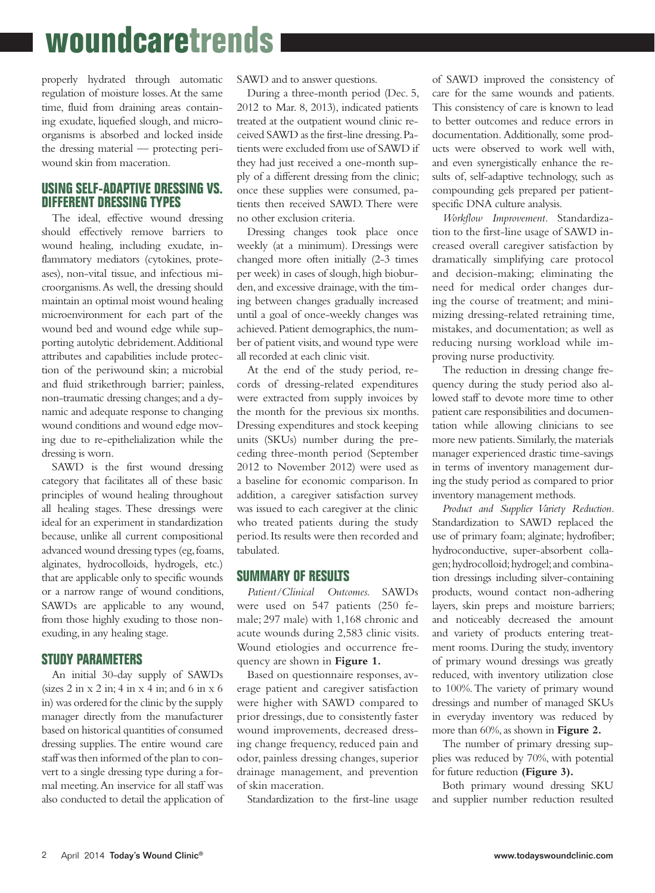# **woundcaretrends**

properly hydrated through automatic regulation of moisture losses. At the same time, fluid from draining areas containing exudate, liquefied slough, and microorganisms is absorbed and locked inside the dressing material — protecting periwound skin from maceration.

#### **USING SELF-ADAPTIVE DRESSING VS. DIFFERENT DRESSING TYPES**

The ideal, effective wound dressing should effectively remove barriers to wound healing, including exudate, inflammatory mediators (cytokines, proteases), non-vital tissue, and infectious microorganisms. As well, the dressing should maintain an optimal moist wound healing microenvironment for each part of the wound bed and wound edge while supporting autolytic debridement. Additional attributes and capabilities include protection of the periwound skin; a microbial and fluid strikethrough barrier; painless, non-traumatic dressing changes; and a dynamic and adequate response to changing wound conditions and wound edge moving due to re-epithelialization while the dressing is worn.

SAWD is the first wound dressing category that facilitates all of these basic principles of wound healing throughout all healing stages. These dressings were ideal for an experiment in standardization because, unlike all current compositional advanced wound dressing types (eg, foams, alginates, hydrocolloids, hydrogels, etc.) that are applicable only to specific wounds or a narrow range of wound conditions, SAWDs are applicable to any wound, from those highly exuding to those nonexuding, in any healing stage.

#### **STUDY PARAMETERS**

An initial 30-day supply of SAWDs (sizes 2 in x 2 in; 4 in x 4 in; and 6 in x 6 in) was ordered for the clinic by the supply manager directly from the manufacturer based on historical quantities of consumed dressing supplies. The entire wound care staff was then informed of the plan to convert to a single dressing type during a formal meeting. An inservice for all staff was also conducted to detail the application of SAWD and to answer questions.

During a three-month period (Dec. 5, 2012 to Mar. 8, 2013), indicated patients treated at the outpatient wound clinic received SAWD as the first-line dressing. Patients were excluded from use of SAWD if they had just received a one-month supply of a different dressing from the clinic; once these supplies were consumed, patients then received SAWD. There were no other exclusion criteria.

Dressing changes took place once weekly (at a minimum). Dressings were changed more often initially (2-3 times per week) in cases of slough, high bioburden, and excessive drainage, with the timing between changes gradually increased until a goal of once-weekly changes was achieved. Patient demographics, the number of patient visits, and wound type were all recorded at each clinic visit.

At the end of the study period, records of dressing-related expenditures were extracted from supply invoices by the month for the previous six months. Dressing expenditures and stock keeping units (SKUs) number during the preceding three-month period (September 2012 to November 2012) were used as a baseline for economic comparison. In addition, a caregiver satisfaction survey was issued to each caregiver at the clinic who treated patients during the study period. Its results were then recorded and tabulated.

#### **SUMMARY OF RESULTS**

*Patient/Clinical Outcomes.* SAWDs were used on 547 patients (250 female; 297 male) with 1,168 chronic and acute wounds during 2,583 clinic visits. Wound etiologies and occurrence frequency are shown in **Figure 1.**

Based on questionnaire responses, average patient and caregiver satisfaction were higher with SAWD compared to prior dressings, due to consistently faster wound improvements, decreased dressing change frequency, reduced pain and odor, painless dressing changes, superior drainage management, and prevention of skin maceration.

Standardization to the first-line usage

of SAWD improved the consistency of care for the same wounds and patients. This consistency of care is known to lead to better outcomes and reduce errors in documentation. Additionally, some products were observed to work well with, and even synergistically enhance the results of, self-adaptive technology, such as compounding gels prepared per patientspecific DNA culture analysis.

*Workflow Improvement.* Standardization to the first-line usage of SAWD increased overall caregiver satisfaction by dramatically simplifying care protocol and decision-making; eliminating the need for medical order changes during the course of treatment; and minimizing dressing-related retraining time, mistakes, and documentation; as well as reducing nursing workload while improving nurse productivity.

The reduction in dressing change frequency during the study period also allowed staff to devote more time to other patient care responsibilities and documentation while allowing clinicians to see more new patients. Similarly, the materials manager experienced drastic time-savings in terms of inventory management during the study period as compared to prior inventory management methods.

*Product and Supplier Variety Reduction.*  Standardization to SAWD replaced the use of primary foam; alginate; hydrofiber; hydroconductive, super-absorbent collagen; hydrocolloid; hydrogel; and combination dressings including silver-containing products, wound contact non-adhering layers, skin preps and moisture barriers; and noticeably decreased the amount and variety of products entering treatment rooms. During the study, inventory of primary wound dressings was greatly reduced, with inventory utilization close to 100%. The variety of primary wound dressings and number of managed SKUs in everyday inventory was reduced by more than 60%, as shown in **Figure 2.** 

The number of primary dressing supplies was reduced by 70%, with potential for future reduction **(Figure 3).**

Both primary wound dressing SKU and supplier number reduction resulted